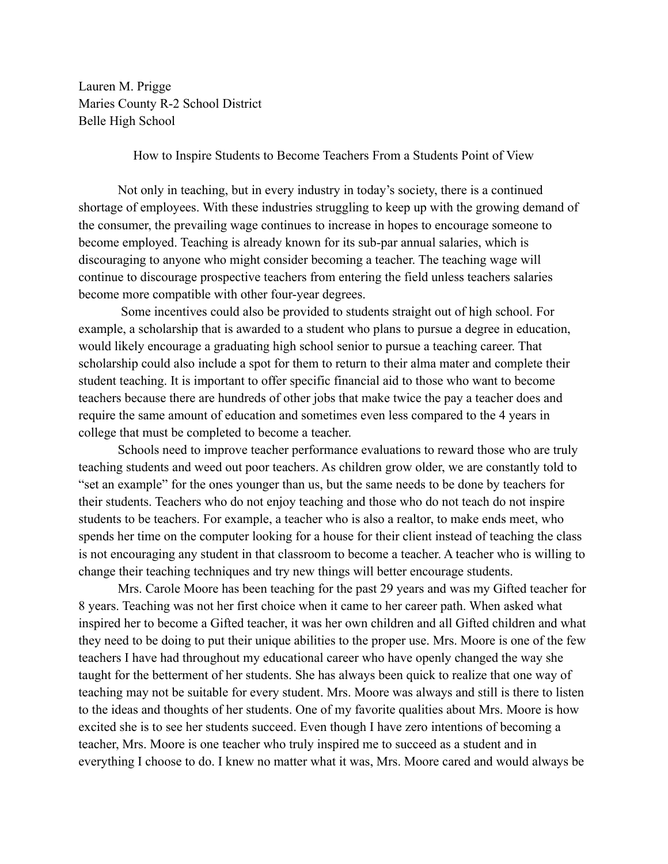Lauren M. Prigge Maries County R-2 School District Belle High School

How to Inspire Students to Become Teachers From a Students Point of View

Not only in teaching, but in every industry in today's society, there is a continued shortage of employees. With these industries struggling to keep up with the growing demand of the consumer, the prevailing wage continues to increase in hopes to encourage someone to become employed. Teaching is already known for its sub-par annual salaries, which is discouraging to anyone who might consider becoming a teacher. The teaching wage will continue to discourage prospective teachers from entering the field unless teachers salaries become more compatible with other four-year degrees.

Some incentives could also be provided to students straight out of high school. For example, a scholarship that is awarded to a student who plans to pursue a degree in education, would likely encourage a graduating high school senior to pursue a teaching career. That scholarship could also include a spot for them to return to their alma mater and complete their student teaching. It is important to offer specific financial aid to those who want to become teachers because there are hundreds of other jobs that make twice the pay a teacher does and require the same amount of education and sometimes even less compared to the 4 years in college that must be completed to become a teacher.

Schools need to improve teacher performance evaluations to reward those who are truly teaching students and weed out poor teachers. As children grow older, we are constantly told to "set an example" for the ones younger than us, but the same needs to be done by teachers for their students. Teachers who do not enjoy teaching and those who do not teach do not inspire students to be teachers. For example, a teacher who is also a realtor, to make ends meet, who spends her time on the computer looking for a house for their client instead of teaching the class is not encouraging any student in that classroom to become a teacher. A teacher who is willing to change their teaching techniques and try new things will better encourage students.

Mrs. Carole Moore has been teaching for the past 29 years and was my Gifted teacher for 8 years. Teaching was not her first choice when it came to her career path. When asked what inspired her to become a Gifted teacher, it was her own children and all Gifted children and what they need to be doing to put their unique abilities to the proper use. Mrs. Moore is one of the few teachers I have had throughout my educational career who have openly changed the way she taught for the betterment of her students. She has always been quick to realize that one way of teaching may not be suitable for every student. Mrs. Moore was always and still is there to listen to the ideas and thoughts of her students. One of my favorite qualities about Mrs. Moore is how excited she is to see her students succeed. Even though I have zero intentions of becoming a teacher, Mrs. Moore is one teacher who truly inspired me to succeed as a student and in everything I choose to do. I knew no matter what it was, Mrs. Moore cared and would always be